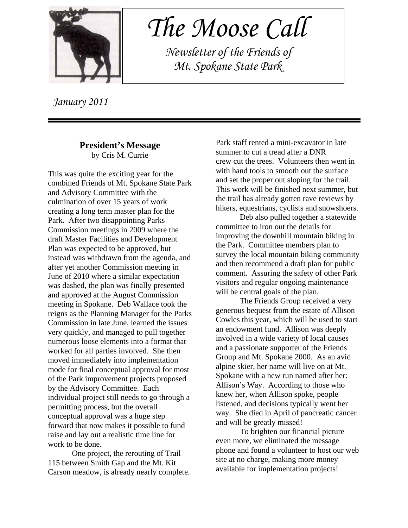

 *The Moose Call*

 *Newsletter of the Friends of Mt. Spokane State Park*

 *January 2011*

#### **President's Message** by Cris M. Currie

This was quite the exciting year for the combined Friends of Mt. Spokane State Park and Advisory Committee with the culmination of over 15 years of work creating a long term master plan for the Park. After two disappointing Parks Commission meetings in 2009 where the draft Master Facilities and Development Plan was expected to be approved, but instead was withdrawn from the agenda, and after yet another Commission meeting in June of 2010 where a similar expectation was dashed, the plan was finally presented and approved at the August Commission meeting in Spokane. Deb Wallace took the reigns as the Planning Manager for the Parks Commission in late June, learned the issues very quickly, and managed to pull together numerous loose elements into a format that worked for all parties involved. She then moved immediately into implementation mode for final conceptual approval for most of the Park improvement projects proposed by the Advisory Committee. Each individual project still needs to go through a permitting process, but the overall conceptual approval was a huge step forward that now makes it possible to fund raise and lay out a realistic time line for work to be done.

One project, the rerouting of Trail 115 between Smith Gap and the Mt. Kit Carson meadow, is already nearly complete. Park staff rented a mini-excavator in late summer to cut a tread after a DNR crew cut the trees. Volunteers then went in with hand tools to smooth out the surface and set the proper out sloping for the trail. This work will be finished next summer, but the trail has already gotten rave reviews by hikers, equestrians, cyclists and snowshoers.

Deb also pulled together a statewide committee to iron out the details for improving the downhill mountain biking in the Park. Committee members plan to survey the local mountain biking community and then recommend a draft plan for public comment. Assuring the safety of other Park visitors and regular ongoing maintenance will be central goals of the plan.

The Friends Group received a very generous bequest from the estate of Allison Cowles this year, which will be used to start an endowment fund. Allison was deeply involved in a wide variety of local causes and a passionate supporter of the Friends Group and Mt. Spokane 2000. As an avid alpine skier, her name will live on at Mt. Spokane with a new run named after her: Allison's Way. According to those who knew her, when Allison spoke, people listened, and decisions typically went her way. She died in April of pancreatic cancer and will be greatly missed!

To brighten our financial picture even more, we eliminated the message phone and found a volunteer to host our web site at no charge, making more money available for implementation projects!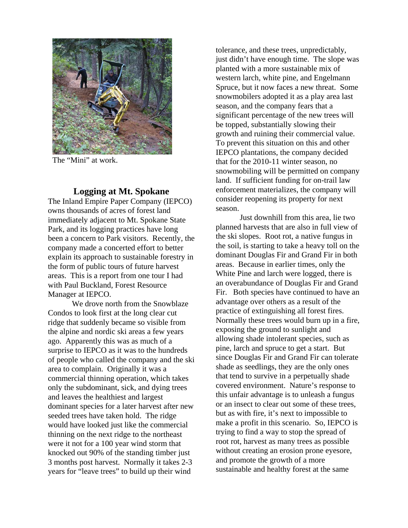

The "Mini" at work.

## **Logging at Mt. Spokane**

The Inland Empire Paper Company (IEPCO) owns thousands of acres of forest land immediately adjacent to Mt. Spokane State Park, and its logging practices have long been a concern to Park visitors. Recently, the company made a concerted effort to better explain its approach to sustainable forestry in the form of public tours of future harvest areas. This is a report from one tour I had with Paul Buckland, Forest Resource Manager at IEPCO.

We drove north from the Snowblaze Condos to look first at the long clear cut ridge that suddenly became so visible from the alpine and nordic ski areas a few years ago. Apparently this was as much of a surprise to IEPCO as it was to the hundreds of people who called the company and the ski area to complain. Originally it was a commercial thinning operation, which takes only the subdominant, sick, and dying trees and leaves the healthiest and largest dominant species for a later harvest after new seeded trees have taken hold. The ridge would have looked just like the commercial thinning on the next ridge to the northeast were it not for a 100 year wind storm that knocked out 90% of the standing timber just 3 months post harvest. Normally it takes 2-3 years for "leave trees" to build up their wind

tolerance, and these trees, unpredictably, just didn't have enough time. The slope was planted with a more sustainable mix of western larch, white pine, and Engelmann Spruce, but it now faces a new threat. Some snowmobilers adopted it as a play area last season, and the company fears that a significant percentage of the new trees will be topped, substantially slowing their growth and ruining their commercial value. To prevent this situation on this and other IEPCO plantations, the company decided that for the 2010-11 winter season, no snowmobiling will be permitted on company land. If sufficient funding for on-trail law enforcement materializes, the company will consider reopening its property for next season.

Just downhill from this area, lie two planned harvests that are also in full view of the ski slopes. Root rot, a native fungus in the soil, is starting to take a heavy toll on the dominant Douglas Fir and Grand Fir in both areas. Because in earlier times, only the White Pine and larch were logged, there is an overabundance of Douglas Fir and Grand Fir. Both species have continued to have an advantage over others as a result of the practice of extinguishing all forest fires. Normally these trees would burn up in a fire, exposing the ground to sunlight and allowing shade intolerant species, such as pine, larch and spruce to get a start. But since Douglas Fir and Grand Fir can tolerate shade as seedlings, they are the only ones that tend to survive in a perpetually shade covered environment. Nature's response to this unfair advantage is to unleash a fungus or an insect to clear out some of these trees, but as with fire, it's next to impossible to make a profit in this scenario. So, IEPCO is trying to find a way to stop the spread of root rot, harvest as many trees as possible without creating an erosion prone eyesore, and promote the growth of a more sustainable and healthy forest at the same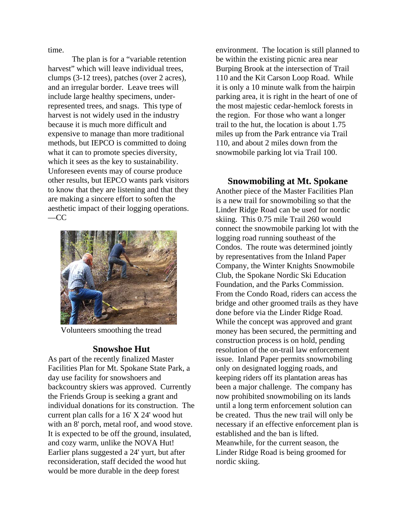time.

The plan is for a "variable retention harvest" which will leave individual trees, clumps (3-12 trees), patches (over 2 acres), and an irregular border. Leave trees will include large healthy specimens, underrepresented trees, and snags. This type of harvest is not widely used in the industry because it is much more difficult and expensive to manage than more traditional methods, but IEPCO is committed to doing what it can to promote species diversity, which it sees as the key to sustainability. Unforeseen events may of course produce other results, but IEPCO wants park visitors to know that they are listening and that they are making a sincere effort to soften the aesthetic impact of their logging operations.  $-CC$ 



Volunteers smoothing the tread

### **Snowshoe Hut**

As part of the recently finalized Master Facilities Plan for Mt. Spokane State Park, a day use facility for snowshoers and backcountry skiers was approved. Currently the Friends Group is seeking a grant and individual donations for its construction. The current plan calls for a 16' X 24' wood hut with an 8' porch, metal roof, and wood stove. It is expected to be off the ground, insulated, and cozy warm, unlike the NOVA Hut! Earlier plans suggested a 24' yurt, but after reconsideration, staff decided the wood hut would be more durable in the deep forest

environment. The location is still planned to be within the existing picnic area near Burping Brook at the intersection of Trail 110 and the Kit Carson Loop Road. While it is only a 10 minute walk from the hairpin parking area, it is right in the heart of one of the most majestic cedar-hemlock forests in the region. For those who want a longer trail to the hut, the location is about 1.75 miles up from the Park entrance via Trail 110, and about 2 miles down from the snowmobile parking lot via Trail 100.

#### **Snowmobiling at Mt. Spokane**

Another piece of the Master Facilities Plan is a new trail for snowmobiling so that the Linder Ridge Road can be used for nordic skiing. This 0.75 mile Trail 260 would connect the snowmobile parking lot with the logging road running southeast of the Condos. The route was determined jointly by representatives from the Inland Paper Company, the Winter Knights Snowmobile Club, the Spokane Nordic Ski Education Foundation, and the Parks Commission. From the Condo Road, riders can access the bridge and other groomed trails as they have done before via the Linder Ridge Road. While the concept was approved and grant money has been secured, the permitting and construction process is on hold, pending resolution of the on-trail law enforcement issue. Inland Paper permits snowmobiling only on designated logging roads, and keeping riders off its plantation areas has been a major challenge. The company has now prohibited snowmobiling on its lands until a long term enforcement solution can be created. Thus the new trail will only be necessary if an effective enforcement plan is established and the ban is lifted. Meanwhile, for the current season, the Linder Ridge Road is being groomed for nordic skiing.